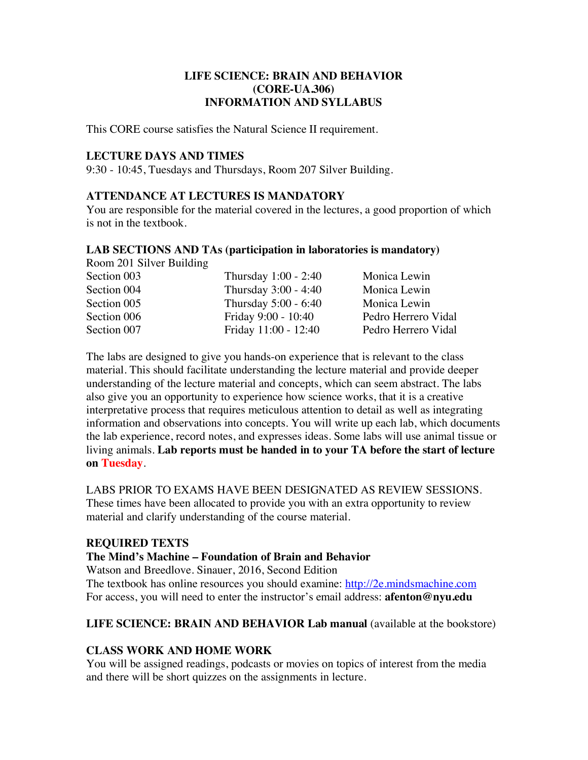# **LIFE SCIENCE: BRAIN AND BEHAVIOR (CORE-UA.306) INFORMATION AND SYLLABUS**

This CORE course satisfies the Natural Science II requirement.

# **LECTURE DAYS AND TIMES**

9:30 - 10:45, Tuesdays and Thursdays, Room 207 Silver Building.

# **ATTENDANCE AT LECTURES IS MANDATORY**

You are responsible for the material covered in the lectures, a good proportion of which is not in the textbook.

### **LAB SECTIONS AND TAs (participation in laboratories is mandatory)**

Room 201 Silver Building

| Section 003 | Thursday 1:00 - 2:40 | Monica Lewin        |
|-------------|----------------------|---------------------|
| Section 004 | Thursday 3:00 - 4:40 | Monica Lewin        |
| Section 005 | Thursday 5:00 - 6:40 | Monica Lewin        |
| Section 006 | Friday 9:00 - 10:40  | Pedro Herrero Vidal |
| Section 007 | Friday 11:00 - 12:40 | Pedro Herrero Vidal |

The labs are designed to give you hands-on experience that is relevant to the class material. This should facilitate understanding the lecture material and provide deeper understanding of the lecture material and concepts, which can seem abstract. The labs also give you an opportunity to experience how science works, that it is a creative interpretative process that requires meticulous attention to detail as well as integrating information and observations into concepts. You will write up each lab, which documents the lab experience, record notes, and expresses ideas. Some labs will use animal tissue or living animals. **Lab reports must be handed in to your TA before the start of lecture on Tuesday**.

LABS PRIOR TO EXAMS HAVE BEEN DESIGNATED AS REVIEW SESSIONS. These times have been allocated to provide you with an extra opportunity to review material and clarify understanding of the course material.

## **REQUIRED TEXTS**

### **The Mind's Machine – Foundation of Brain and Behavior**

Watson and Breedlove. Sinauer, 2016, Second Edition

The textbook has online resources you should examine: http://2e.mindsmachine.com For access, you will need to enter the instructor's email address: **afenton@nyu.edu**

## **LIFE SCIENCE: BRAIN AND BEHAVIOR Lab manual** (available at the bookstore)

## **CLASS WORK AND HOME WORK**

You will be assigned readings, podcasts or movies on topics of interest from the media and there will be short quizzes on the assignments in lecture.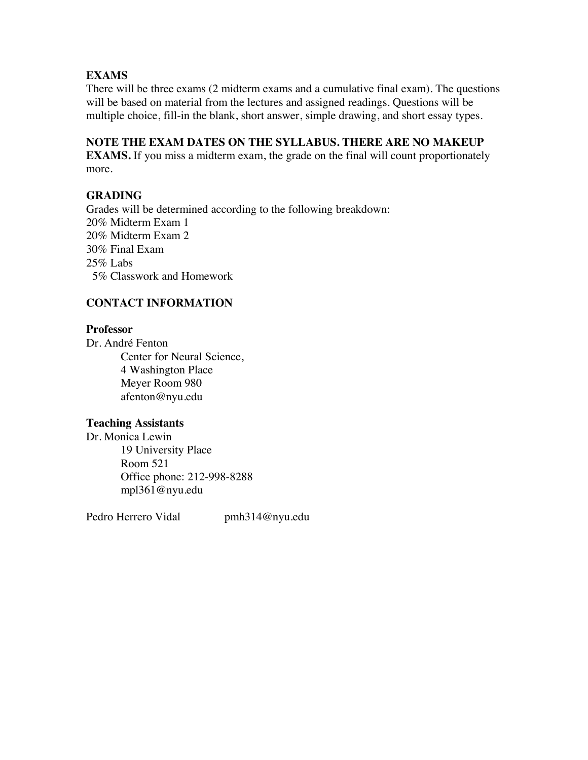# **EXAMS**

There will be three exams (2 midterm exams and a cumulative final exam). The questions will be based on material from the lectures and assigned readings. Questions will be multiple choice, fill-in the blank, short answer, simple drawing, and short essay types.

# **NOTE THE EXAM DATES ON THE SYLLABUS. THERE ARE NO MAKEUP**

**EXAMS.** If you miss a midterm exam, the grade on the final will count proportionately more.

# **GRADING**

Grades will be determined according to the following breakdown: 20% Midterm Exam 1 20% Midterm Exam 2 30% Final Exam 25% Labs 5% Classwork and Homework

# **CONTACT INFORMATION**

## **Professor**

Dr. André Fenton Center for Neural Science, 4 Washington Place Meyer Room 980 afenton@nyu.edu

## **Teaching Assistants**

Dr. Monica Lewin 19 University Place Room 521 Office phone: 212-998-8288 mpl361@nyu.edu

Pedro Herrero Vidal pmh314@nyu.edu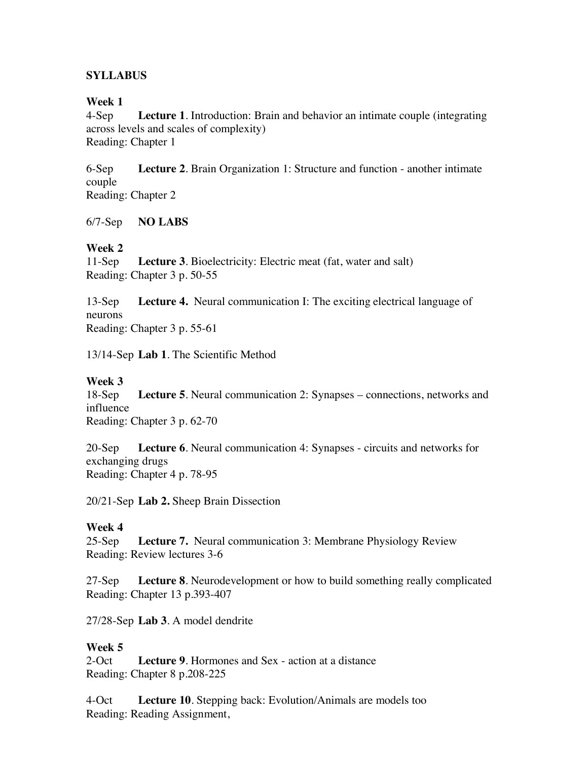# **SYLLABUS**

## **Week 1**

4-Sep **Lecture 1**. Introduction: Brain and behavior an intimate couple (integrating across levels and scales of complexity) Reading: Chapter 1

6-Sep **Lecture 2**. Brain Organization 1: Structure and function - another intimate couple Reading: Chapter 2

6/7-Sep **NO LABS**

# **Week 2**

11-Sep **Lecture 3**. Bioelectricity: Electric meat (fat, water and salt) Reading: Chapter 3 p. 50-55

13-Sep **Lecture 4.** Neural communication I: The exciting electrical language of neurons Reading: Chapter 3 p. 55-61

13/14-Sep **Lab 1**. The Scientific Method

## **Week 3**

18-Sep **Lecture 5**. Neural communication 2: Synapses – connections, networks and influence

Reading: Chapter 3 p. 62-70

20-Sep **Lecture 6**. Neural communication 4: Synapses - circuits and networks for exchanging drugs Reading: Chapter 4 p. 78-95

20/21-Sep **Lab 2.** Sheep Brain Dissection

## **Week 4**

25-Sep **Lecture 7.** Neural communication 3: Membrane Physiology Review Reading: Review lectures 3-6

27-Sep **Lecture 8**. Neurodevelopment or how to build something really complicated Reading: Chapter 13 p.393-407

27/28-Sep **Lab 3**. A model dendrite

# **Week 5**

2-Oct **Lecture 9**. Hormones and Sex - action at a distance Reading: Chapter 8 p.208-225

4-Oct **Lecture 10**. Stepping back: Evolution/Animals are models too Reading: Reading Assignment,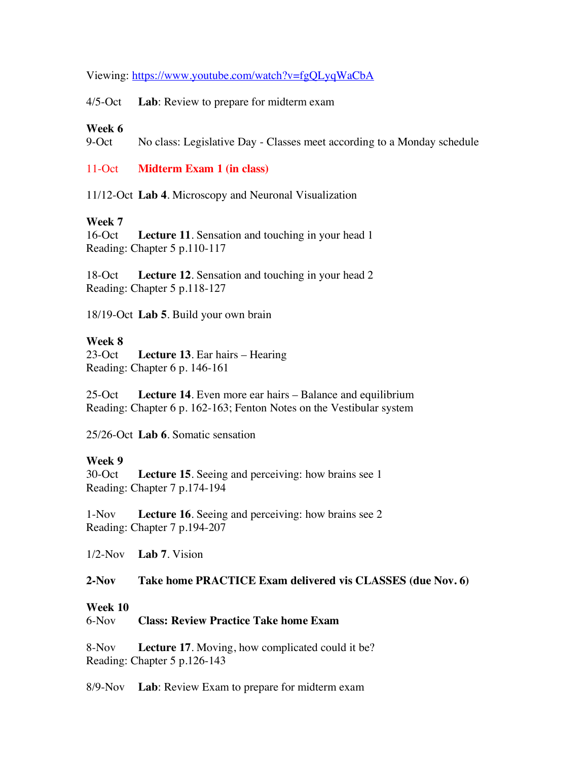Viewing: https://www.youtube.com/watch?v=fgQLyqWaCbA

4/5-Oct **Lab**: Review to prepare for midterm exam

### **Week 6**

9-Oct No class: Legislative Day - Classes meet according to a Monday schedule

11-Oct **Midterm Exam 1 (in class)**

11/12-Oct **Lab 4**. Microscopy and Neuronal Visualization

## **Week 7**

16-Oct **Lecture 11**. Sensation and touching in your head 1 Reading: Chapter 5 p.110-117

18-Oct **Lecture 12**. Sensation and touching in your head 2 Reading: Chapter 5 p.118-127

18/19-Oct **Lab 5**. Build your own brain

### **Week 8**

23-Oct **Lecture 13**. Ear hairs – Hearing Reading: Chapter 6 p. 146-161

25-Oct **Lecture 14**. Even more ear hairs – Balance and equilibrium Reading: Chapter 6 p. 162-163; Fenton Notes on the Vestibular system

25/26-Oct **Lab 6**. Somatic sensation

### **Week 9**

30-Oct **Lecture 15**. Seeing and perceiving: how brains see 1 Reading: Chapter 7 p.174-194

1-Nov **Lecture 16**. Seeing and perceiving: how brains see 2 Reading: Chapter 7 p.194-207

1/2-Nov **Lab 7**. Vision

#### **2-Nov Take home PRACTICE Exam delivered vis CLASSES (due Nov. 6)**

#### **Week 10**

#### 6-Nov **Class: Review Practice Take home Exam**

8-Nov **Lecture 17**. Moving, how complicated could it be? Reading: Chapter 5 p.126-143

8/9-Nov **Lab**: Review Exam to prepare for midterm exam